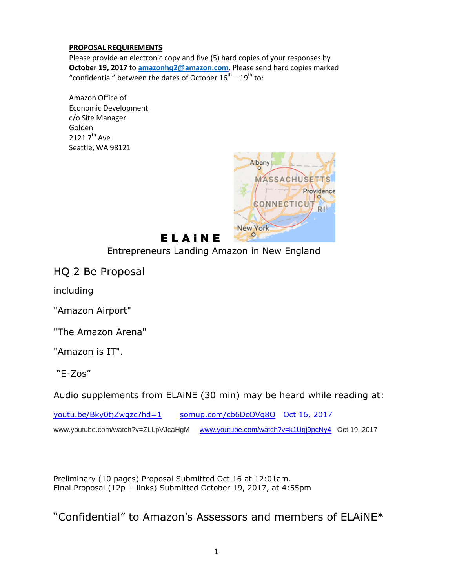#### **PROPOSAL REQUIREMENTS**

Please provide an electronic copy and five (5) hard copies of your responses by **October 19, 2017** to **[amazonhq2@amazon.com](mailto:amazonhq2@amazon.com)**. Please send hard copies marked "confidential" between the dates of October  $16^{th} - 19^{th}$  to:

Amazon Office of Economic Development c/o Site Manager Golden 2121 7<sup>th</sup> Ave Seattle, WA 98121



# **ELAINE**

Entrepreneurs Landing Amazon in New England

HQ 2 Be Proposal

including

"Amazon Airport"

"The Amazon Arena"

"Amazon is IT".

"E-Zos"

Audio supplements from ELAiNE (30 min) may be heard while reading at:

[youtu.be/Bky0tjZwgzc?hd=1](http://youtu.be/Bky0tjZwgzc?hd=1) [somup.com/cb6DcOVq8O](http://somup.com/cb6DcOVq8O) Oct 16, 2017

www.youtube.com/watch?v=ZLLpVJcaHgM [www.youtube.com/watch?v=k1Uqj9pcNy4](http://www.youtube.com/watch?v=k1Uqj9pcNy4) Oct 19, 2017

Preliminary (10 pages) Proposal Submitted Oct 16 at 12:01am. Final Proposal (12p + links) Submitted October 19, 2017, at 4:55pm

"Confidential" to Amazon's Assessors and members of ELAiNE\*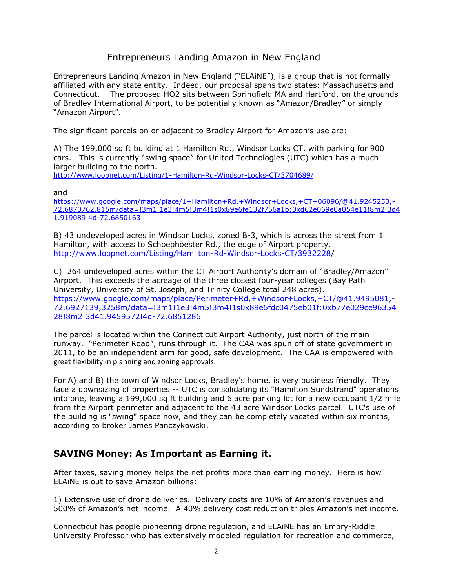### Entrepreneurs Landing Amazon in New England

Entrepreneurs Landing Amazon in New England ("ELAiNE"), is a group that is not formally affiliated with any state entity. Indeed, our proposal spans two states: Massachusetts and Connecticut. The proposed HQ2 sits between Springfield MA and Hartford, on the grounds of Bradley International Airport, to be potentially known as "Amazon/Bradley" or simply "Amazon Airport".

The significant parcels on or adjacent to Bradley Airport for Amazon's use are:

A) The 199,000 sq ft building at 1 Hamilton Rd., Windsor Locks CT, with parking for 900 cars. This is currently "swing space" for United Technologies (UTC) which has a much larger building to the north.

<http://www.loopnet.com/Listing/1-Hamilton-Rd-Windsor-Locks-CT/3704689/>

and

[https://www.google.com/maps/place/1+Hamilton+Rd,+Windsor+Locks,+CT+06096/@41.9245253,-](https://www.google.com/maps/place/1+Hamilton+Rd,+Windsor+Locks,+CT+06096/@41.9245253,-72.6870762,815m/data=!3m1!1e3!4m5!3m4!1s0x89e6fe132f756a1b:0xd62e069e0a054e11!8m2!3d41.919089!4d-72.6850163) [72.6870762,815m/data=!3m1!1e3!4m5!3m4!1s0x89e6fe132f756a1b:0xd62e069e0a054e11!8m2!3d4](https://www.google.com/maps/place/1+Hamilton+Rd,+Windsor+Locks,+CT+06096/@41.9245253,-72.6870762,815m/data=!3m1!1e3!4m5!3m4!1s0x89e6fe132f756a1b:0xd62e069e0a054e11!8m2!3d41.919089!4d-72.6850163) [1.919089!4d-72.6850163](https://www.google.com/maps/place/1+Hamilton+Rd,+Windsor+Locks,+CT+06096/@41.9245253,-72.6870762,815m/data=!3m1!1e3!4m5!3m4!1s0x89e6fe132f756a1b:0xd62e069e0a054e11!8m2!3d41.919089!4d-72.6850163)

B) 43 undeveloped acres in Windsor Locks, zoned B-3, which is across the street from 1 Hamilton, with access to Schoephoester Rd., the edge of Airport property. [http://www.loopnet.com/Listing/Hamilton-Rd-Windsor-Locks-CT/3932228/](http://www.loopnet.com/Listing/Hamilton-Rd-Windsor-Locks-CT/3932228)

C) 264 undeveloped acres within the CT Airport Authority's domain of "Bradley/Amazon" Airport. This exceeds the acreage of the three closest four-year colleges (Bay Path University, University of St. Joseph, and Trinity College total 248 acres). [https://www.google.com/maps/place/Perimeter+Rd,+Windsor+Locks,+CT/@41.9495081,-](https://www.google.com/maps/place/Perimeter+Rd,+Windsor+Locks,+CT/@41.9495081,-72.6927139,3258m/data=!3m1!1e3!4m5!3m4!1s0x89e6fdc0475eb01f:0xb77e029ce9635428!8m2!3d41.9459572!4d-72.6851286) [72.6927139,3258m/data=!3m1!1e3!4m5!3m4!1s0x89e6fdc0475eb01f:0xb77e029ce96354](https://www.google.com/maps/place/Perimeter+Rd,+Windsor+Locks,+CT/@41.9495081,-72.6927139,3258m/data=!3m1!1e3!4m5!3m4!1s0x89e6fdc0475eb01f:0xb77e029ce9635428!8m2!3d41.9459572!4d-72.6851286) [28!8m2!3d41.9459572!4d-72.6851286](https://www.google.com/maps/place/Perimeter+Rd,+Windsor+Locks,+CT/@41.9495081,-72.6927139,3258m/data=!3m1!1e3!4m5!3m4!1s0x89e6fdc0475eb01f:0xb77e029ce9635428!8m2!3d41.9459572!4d-72.6851286)

The parcel is located within the Connecticut Airport Authority, just north of the main runway. "Perimeter Road", runs through it. The CAA was spun off of state government in 2011, to be an independent arm for good, safe development. The CAA is empowered with great flexibility in planning and zoning approvals.

For A) and B) the town of Windsor Locks, Bradley's home, is very business friendly. They face a downsizing of properties -- UTC is consolidating its "Hamilton Sundstrand" operations into one, leaving a 199,000 sq ft building and 6 acre parking lot for a new occupant 1/2 mile from the Airport perimeter and adjacent to the 43 acre Windsor Locks parcel. UTC's use of the building is "swing" space now, and they can be completely vacated within six months, according to broker James Panczykowski.

### **SAVING Money: As Important as Earning it.**

After taxes, saving money helps the net profits more than earning money. Here is how ELAiNE is out to save Amazon billions:

1) Extensive use of drone deliveries. Delivery costs are 10% of Amazon's revenues and 500% of Amazon's net income. A 40% delivery cost reduction triples Amazon's net income.

Connecticut has people pioneering drone regulation, and ELAiNE has an Embry-Riddle University Professor who has extensively modeled regulation for recreation and commerce,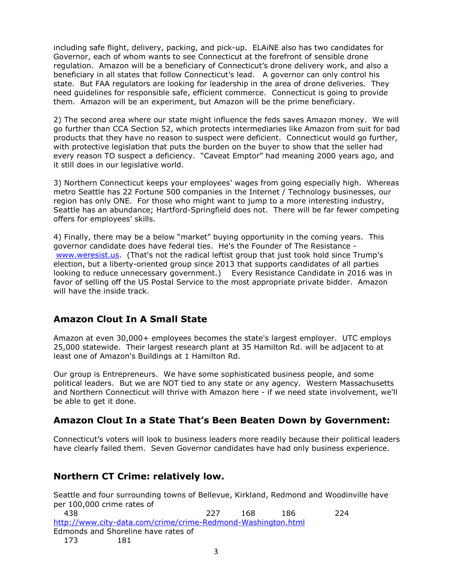including safe flight, delivery, packing, and pick-up. ELAiNE also has two candidates for Governor, each of whom wants to see Connecticut at the forefront of sensible drone regulation. Amazon will be a beneficiary of Connecticut's drone delivery work, and also a beneficiary in all states that follow Connecticut's lead. A governor can only control his state. But FAA regulators are looking for leadership in the area of drone deliveries. They need guidelines for responsible safe, efficient commerce. Connecticut is going to provide them. Amazon will be an experiment, but Amazon will be the prime beneficiary.

2) The second area where our state might influence the feds saves Amazon money. We will go further than CCA Section 52, which protects intermediaries like Amazon from suit for bad products that they have no reason to suspect were deficient. Connecticut would go further, with protective legislation that puts the burden on the buyer to show that the seller had every reason TO suspect a deficiency. "Caveat Emptor" had meaning 2000 years ago, and it still does in our legislative world.

3) Northern Connecticut keeps your employees' wages from going especially high. Whereas metro Seattle has 22 Fortune 500 companies in the Internet / Technology businesses, our region has only ONE. For those who might want to jump to a more interesting industry, Seattle has an abundance; Hartford-Springfield does not. There will be far fewer competing offers for employees' skills.

4) Finally, there may be a below "market" buying opportunity in the coming years. This governor candidate does have federal ties. He's the Founder of The Resistance [www.weresist.us.](http://www.weresist.us/) (That's not the radical leftist group that just took hold since Trump's election, but a liberty-oriented group since 2013 that supports candidates of all parties looking to reduce unnecessary government.) Every Resistance Candidate in 2016 was in favor of selling off the US Postal Service to the most appropriate private bidder. Amazon will have the inside track.

# **Amazon Clout In A Small State**

Amazon at even 30,000+ employees becomes the state's largest employer. UTC employs 25,000 statewide. Their largest research plant at 35 Hamilton Rd. will be adjacent to at least one of Amazon's Buildings at 1 Hamilton Rd.

Our group is Entrepreneurs. We have some sophisticated business people, and some political leaders. But we are NOT tied to any state or any agency. Western Massachusetts and Northern Connecticut will thrive with Amazon here - if we need state involvement, we'll be able to get it done.

# **Amazon Clout In a State That's Been Beaten Down by Government:**

Connecticut's voters will look to business leaders more readily because their political leaders have clearly failed them. Seven Governor candidates have had only business experience.

# **Northern CT Crime: relatively low.**

Seattle and four surrounding towns of Bellevue, Kirkland, Redmond and Woodinville have per 100,000 crime rates of 438 227 168 186 224 <http://www.city-data.com/crime/crime-Redmond-Washington.html> Edmonds and Shoreline have rates of 173 181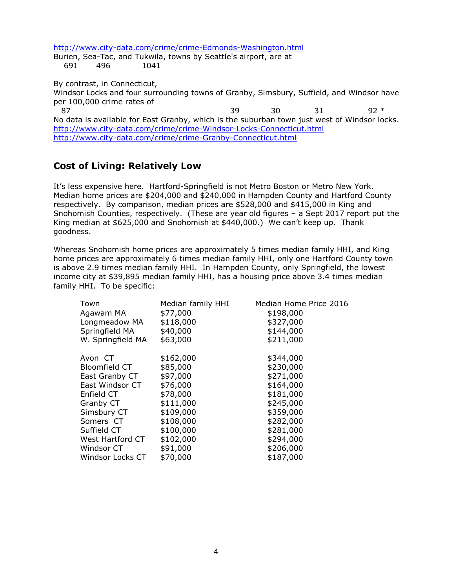<http://www.city-data.com/crime/crime-Edmonds-Washington.html>

Burien, Sea-Tac, and Tukwila, towns by Seattle's airport, are at 691 496 1041

By contrast, in Connecticut,

Windsor Locks and four surrounding towns of Granby, Simsbury, Suffield, and Windsor have per 100,000 crime rates of

87 39 30 31 92 \* No data is available for East Granby, which is the suburban town just west of Windsor locks. <http://www.city-data.com/crime/crime-Windsor-Locks-Connecticut.html> <http://www.city-data.com/crime/crime-Granby-Connecticut.html>

### **Cost of Living: Relatively Low**

It's less expensive here. Hartford-Springfield is not Metro Boston or Metro New York. Median home prices are \$204,000 and \$240,000 in Hampden County and Hartford County respectively. By comparison, median prices are \$528,000 and \$415,000 in King and Snohomish Counties, respectively. (These are year old figures – a Sept 2017 report put the King median at \$625,000 and Snohomish at \$440,000.) We can't keep up. Thank goodness.

Whereas Snohomish home prices are approximately 5 times median family HHI, and King home prices are approximately 6 times median family HHI, only one Hartford County town is above 2.9 times median family HHI. In Hampden County, only Springfield, the lowest income city at \$39,895 median family HHI, has a housing price above 3.4 times median family HHI. To be specific:

| Town              | Median family HHI | Median Home Price 2016 |  |
|-------------------|-------------------|------------------------|--|
| Agawam MA         | \$77,000          | \$198,000              |  |
| Longmeadow MA     | \$118,000         | \$327,000              |  |
| Springfield MA    | \$40,000          | \$144,000              |  |
| W. Springfield MA | \$63,000          | \$211,000              |  |
| Avon CT           | \$162,000         | \$344,000              |  |
| Bloomfield CT     | \$85,000          | \$230,000              |  |
| East Granby CT    | \$97,000          | \$271,000              |  |
| East Windsor CT   | \$76,000          | \$164,000              |  |
| Enfield CT        | \$78,000          | \$181,000              |  |
| Granby CT         | \$111,000         | \$245,000              |  |
| Simsbury CT       | \$109,000         | \$359,000              |  |
| Somers CT         | \$108,000         | \$282,000              |  |
| Suffield CT       | \$100,000         | \$281,000              |  |
| West Hartford CT  | \$102,000         | \$294,000              |  |
| Windsor CT        | \$91,000          | \$206,000              |  |
| Windsor Locks CT  | \$70,000          | \$187,000              |  |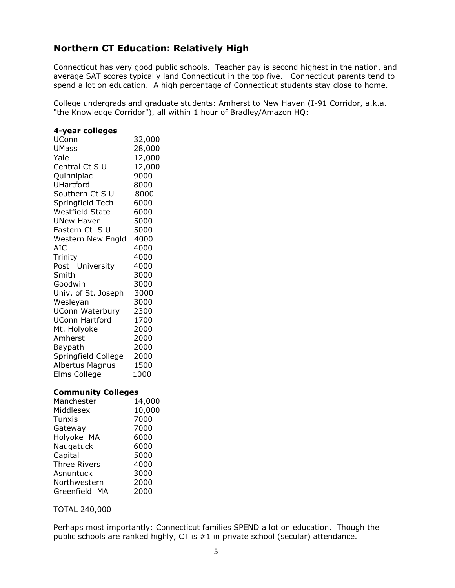# **Northern CT Education: Relatively High**

Connecticut has very good public schools. Teacher pay is second highest in the nation, and average SAT scores typically land Connecticut in the top five. Connecticut parents tend to spend a lot on education. A high percentage of Connecticut students stay close to home.

College undergrads and graduate students: Amherst to New Haven (I-91 Corridor, a.k.a. "the Knowledge Corridor"), all within 1 hour of Bradley/Amazon HQ:

#### **4-year colleges**

| UConn                  | 32,000 |
|------------------------|--------|
| <b>UMass</b>           | 28,000 |
| Yale                   | 12,000 |
| Central Ct S U         | 12,000 |
| Quinnipiac             | 9000   |
| UHartford              | 8000   |
| Southern Ct S U        | 8000   |
| Springfield Tech       | 6000   |
| <b>Westfield State</b> | 6000   |
| <b>UNew Haven</b>      | 5000   |
| Eastern Ct SU          | 5000   |
| Western New Engld      | 4000   |
| AIC                    | 4000   |
| Trinity                | 4000   |
| Post University        | 4000   |
| Smith                  | 3000   |
| Goodwin                | 3000   |
| Univ. of St. Joseph    | 3000   |
| Wesleyan               | 3000   |
| <b>UConn Waterbury</b> | 2300   |
| <b>UConn Hartford</b>  | 1700   |
| Mt. Holyoke            | 2000   |
| Amherst                | 2000   |
| Baypath                | 2000   |
| Springfield College    | 2000   |
| Albertus Magnus        | 1500   |
| Elms College           | 1000   |

#### **Community Colleges**

| 14,000 |
|--------|
| 10,000 |
| 7000   |
| 7000   |
| 6000   |
| 6000   |
| 5000   |
| 4000   |
| 3000   |
| 2000   |
| 2000   |
|        |

TOTAL 240,000

Perhaps most importantly: Connecticut families SPEND a lot on education. Though the public schools are ranked highly, CT is #1 in private school (secular) attendance.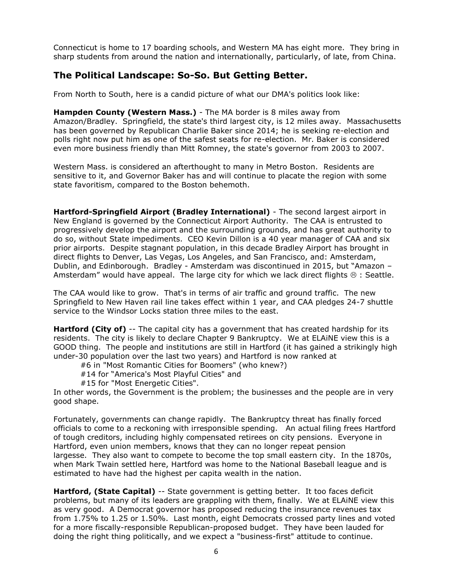Connecticut is home to 17 boarding schools, and Western MA has eight more. They bring in sharp students from around the nation and internationally, particularly, of late, from China.

### **The Political Landscape: So-So. But Getting Better.**

From North to South, here is a candid picture of what our DMA's politics look like:

**Hampden County (Western Mass.)** - The MA border is 8 miles away from Amazon/Bradley. Springfield, the state's third largest city, is 12 miles away. Massachusetts has been governed by Republican Charlie Baker since 2014; he is seeking re-election and polls right now put him as one of the safest seats for re-election. Mr. Baker is considered even more business friendly than Mitt Romney, the state's governor from 2003 to 2007.

Western Mass. is considered an afterthought to many in Metro Boston. Residents are sensitive to it, and Governor Baker has and will continue to placate the region with some state favoritism, compared to the Boston behemoth.

**Hartford-Springfield Airport (Bradley International)** - The second largest airport in New England is governed by the Connecticut Airport Authority. The CAA is entrusted to progressively develop the airport and the surrounding grounds, and has great authority to do so, without State impediments. CEO Kevin Dillon is a 40 year manager of CAA and six prior airports. Despite stagnant population, in this decade Bradley Airport has brought in direct flights to Denver, Las Vegas, Los Angeles, and San Francisco, and: Amsterdam, Dublin, and Edinborough. Bradley - Amsterdam was discontinued in 2015, but "Amazon – Amsterdam" would have appeal. The large city for which we lack direct flights  $\otimes$  : Seattle.

The CAA would like to grow. That's in terms of air traffic and ground traffic. The new Springfield to New Haven rail line takes effect within 1 year, and CAA pledges 24-7 shuttle service to the Windsor Locks station three miles to the east.

**Hartford (City of)** -- The capital city has a government that has created hardship for its residents. The city is likely to declare Chapter 9 Bankruptcy. We at ELAiNE view this is a GOOD thing. The people and institutions are still in Hartford (it has gained a strikingly high under-30 population over the last two years) and Hartford is now ranked at

- #6 in "Most Romantic Cities for Boomers" (who knew?)
- #14 for "America's Most Playful Cities" and
- #15 for "Most Energetic Cities".

In other words, the Government is the problem; the businesses and the people are in very good shape.

Fortunately, governments can change rapidly. The Bankruptcy threat has finally forced officials to come to a reckoning with irresponsible spending. An actual filing frees Hartford of tough creditors, including highly compensated retirees on city pensions. Everyone in Hartford, even union members, knows that they can no longer repeat pension largesse. They also want to compete to become the top small eastern city. In the 1870s, when Mark Twain settled here, Hartford was home to the National Baseball league and is estimated to have had the highest per capita wealth in the nation.

**Hartford, (State Capital)** -- State government is getting better. It too faces deficit problems, but many of its leaders are grappling with them, finally. We at ELAiNE view this as very good. A Democrat governor has proposed reducing the insurance revenues tax from 1.75% to 1.25 or 1.50%. Last month, eight Democrats crossed party lines and voted for a more fiscally-responsible Republican-proposed budget. They have been lauded for doing the right thing politically, and we expect a "business-first" attitude to continue.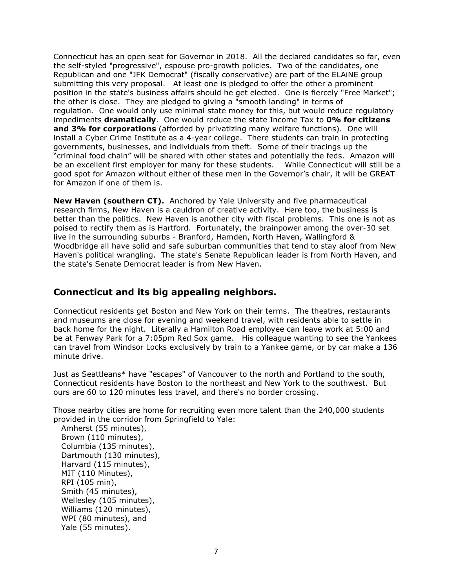Connecticut has an open seat for Governor in 2018. All the declared candidates so far, even the self-styled "progressive", espouse pro-growth policies. Two of the candidates, one Republican and one "JFK Democrat" (fiscally conservative) are part of the ELAiNE group submitting this very proposal. At least one is pledged to offer the other a prominent position in the state's business affairs should he get elected. One is fiercely "Free Market"; the other is close. They are pledged to giving a "smooth landing" in terms of regulation. One would only use minimal state money for this, but would reduce regulatory impediments **dramatically**. One would reduce the state Income Tax to **0% for citizens and 3% for corporations** (afforded by privatizing many welfare functions). One will install a Cyber Crime Institute as a 4-year college. There students can train in protecting governments, businesses, and individuals from theft. Some of their tracings up the "criminal food chain" will be shared with other states and potentially the feds. Amazon will be an excellent first employer for many for these students. While Connecticut will still be a good spot for Amazon without either of these men in the Governor's chair, it will be GREAT for Amazon if one of them is.

**New Haven (southern CT).** Anchored by Yale University and five pharmaceutical research firms, New Haven is a cauldron of creative activity. Here too, the business is better than the politics. New Haven is another city with fiscal problems. This one is not as poised to rectify them as is Hartford. Fortunately, the brainpower among the over-30 set live in the surrounding suburbs - Branford, Hamden, North Haven, Wallingford & Woodbridge all have solid and safe suburban communities that tend to stay aloof from New Haven's political wrangling. The state's Senate Republican leader is from North Haven, and the state's Senate Democrat leader is from New Haven.

### **Connecticut and its big appealing neighbors.**

Connecticut residents get Boston and New York on their terms. The theatres, restaurants and museums are close for evening and weekend travel, with residents able to settle in back home for the night. Literally a Hamilton Road employee can leave work at 5:00 and be at Fenway Park for a 7:05pm Red Sox game. His colleague wanting to see the Yankees can travel from Windsor Locks exclusively by train to a Yankee game, or by car make a 136 minute drive.

Just as Seattleans\* have "escapes" of Vancouver to the north and Portland to the south, Connecticut residents have Boston to the northeast and New York to the southwest. But ours are 60 to 120 minutes less travel, and there's no border crossing.

Those nearby cities are home for recruiting even more talent than the 240,000 students provided in the corridor from Springfield to Yale:

Amherst (55 minutes), Brown (110 minutes), Columbia (135 minutes), Dartmouth (130 minutes), Harvard (115 minutes), MIT (110 Minutes), RPI (105 min), Smith (45 minutes), Wellesley (105 minutes), Williams (120 minutes), WPI (80 minutes), and Yale (55 minutes).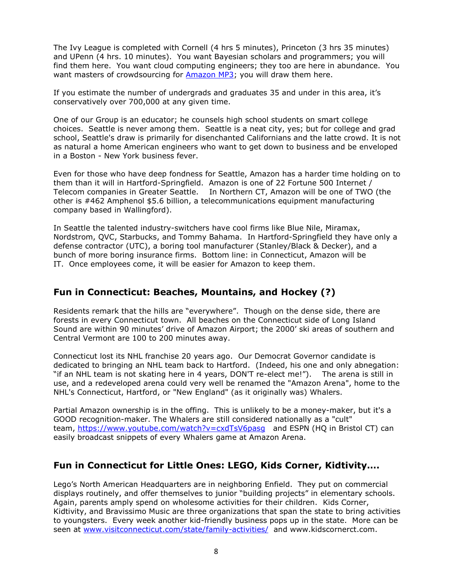The Ivy League is completed with Cornell (4 hrs 5 minutes), Princeton (3 hrs 35 minutes) and UPenn (4 hrs. 10 minutes). You want Bayesian scholars and programmers; you will find them here. You want cloud computing engineers; they too are here in abundance. You want masters of crowdsourcing for [Amazon](https://www.engadget.com/2007/09/25/amazon-mp3-a-quick-review/) MP3; you will draw them here.

If you estimate the number of undergrads and graduates 35 and under in this area, it's conservatively over 700,000 at any given time.

One of our Group is an educator; he counsels high school students on smart college choices. Seattle is never among them. Seattle is a neat city, yes; but for college and grad school, Seattle's draw is primarily for disenchanted Californians and the latte crowd. It is not as natural a home American engineers who want to get down to business and be enveloped in a Boston - New York business fever.

Even for those who have deep fondness for Seattle, Amazon has a harder time holding on to them than it will in Hartford-Springfield. Amazon is one of 22 Fortune 500 Internet / Telecom companies in Greater Seattle. In Northern CT, Amazon will be one of TWO (the other is #462 Amphenol \$5.6 billion, a telecommunications equipment manufacturing company based in Wallingford).

In Seattle the talented industry-switchers have cool firms like Blue Nile, Miramax, Nordstrom, QVC, Starbucks, and Tommy Bahama. In Hartford-Springfield they have only a defense contractor (UTC), a boring tool manufacturer (Stanley/Black & Decker), and a bunch of more boring insurance firms. Bottom line: in Connecticut, Amazon will be IT. Once employees come, it will be easier for Amazon to keep them.

### **Fun in Connecticut: Beaches, Mountains, and Hockey (?)**

Residents remark that the hills are "everywhere". Though on the dense side, there are forests in every Connecticut town. All beaches on the Connecticut side of Long Island Sound are within 90 minutes' drive of Amazon Airport; the 2000' ski areas of southern and Central Vermont are 100 to 200 minutes away.

Connecticut lost its NHL franchise 20 years ago. Our Democrat Governor candidate is dedicated to bringing an NHL team back to Hartford. (Indeed, his one and only abnegation: "if an NHL team is not skating here in 4 years, DON'T re-elect me!"). The arena is still in use, and a redeveloped arena could very well be renamed the "Amazon Arena", home to the NHL's Connecticut, Hartford, or "New England" (as it originally was) Whalers.

Partial Amazon ownership is in the offing. This is unlikely to be a money-maker, but it's a GOOD recognition-maker. The Whalers are still considered nationally as a "cult" team, https://www.youtube.com/watch?v=cxdTsV6pasq and ESPN (HQ in Bristol CT) can easily broadcast snippets of every Whalers game at Amazon Arena.

# **Fun in Connecticut for Little Ones: LEGO, Kids Corner, Kidtivity….**

Lego's North American Headquarters are in neighboring Enfield. They put on commercial displays routinely, and offer themselves to junior "building projects" in elementary schools. Again, parents amply spend on wholesome activities for their children. Kids Corner, Kidtivity, and Bravissimo Music are three organizations that span the state to bring activities to youngsters. Every week another kid-friendly business pops up in the state. More can be seen at [www.visitconnecticut.com/state/family-activities/](http://www.visitconnecticut.com/state/family-activities/) and www.kidscornerct.com.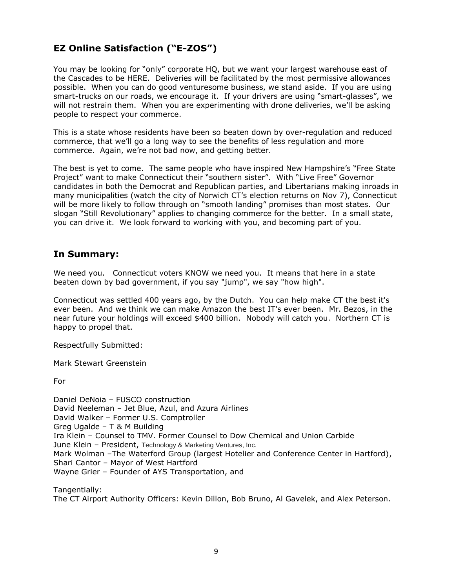# **EZ Online Satisfaction ("E-ZOS")**

You may be looking for "only" corporate HQ, but we want your largest warehouse east of the Cascades to be HERE. Deliveries will be facilitated by the most permissive allowances possible. When you can do good venturesome business, we stand aside. If you are using smart-trucks on our roads, we encourage it. If your drivers are using "smart-glasses", we will not restrain them. When you are experimenting with drone deliveries, we'll be asking people to respect your commerce.

This is a state whose residents have been so beaten down by over-regulation and reduced commerce, that we'll go a long way to see the benefits of less regulation and more commerce. Again, we're not bad now, and getting better.

The best is yet to come. The same people who have inspired New Hampshire's "Free State Project" want to make Connecticut their "southern sister". With "Live Free" Governor candidates in both the Democrat and Republican parties, and Libertarians making inroads in many municipalities (watch the city of Norwich CT's election returns on Nov 7), Connecticut will be more likely to follow through on "smooth landing" promises than most states. Our slogan "Still Revolutionary" applies to changing commerce for the better. In a small state, you can drive it. We look forward to working with you, and becoming part of you.

### **In Summary:**

We need you. Connecticut voters KNOW we need you. It means that here in a state beaten down by bad government, if you say "jump", we say "how high".

Connecticut was settled 400 years ago, by the Dutch. You can help make CT the best it's ever been. And we think we can make Amazon the best IT's ever been. Mr. Bezos, in the near future your holdings will exceed \$400 billion. Nobody will catch you. Northern CT is happy to propel that.

Respectfully Submitted:

Mark Stewart Greenstein

For

Daniel DeNoia – FUSCO construction David Neeleman – Jet Blue, Azul, and Azura Airlines David Walker – Former U.S. Comptroller Greg Ugalde – T & M Building Ira Klein – Counsel to TMV. Former Counsel to Dow Chemical and Union Carbide June Klein – President, Technology & Marketing Ventures, Inc. Mark Wolman –The Waterford Group (largest Hotelier and Conference Center in Hartford), Shari Cantor – Mayor of West Hartford Wayne Grier – Founder of AYS Transportation, and

Tangentially:

The CT Airport Authority Officers: Kevin Dillon, Bob Bruno, Al Gavelek, and Alex Peterson.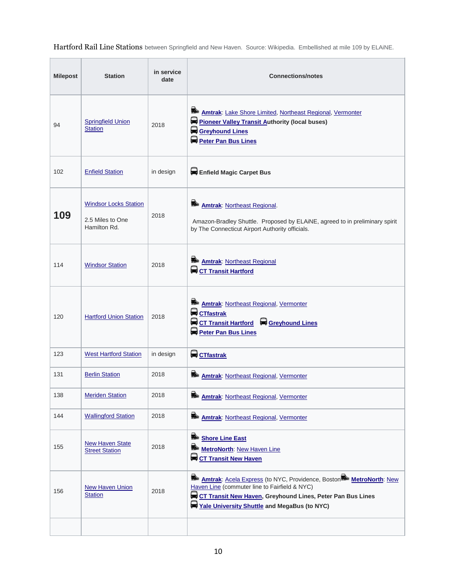Hartford Rail Line Stations between Springfield and New Haven. Source: Wikipedia. Embellished at mile 109 by ELAiNE.

ä,

 $\overline{a}$ 

 $\sim$ 

| <b>Milepost</b> | <b>Station</b>                                                   | in service<br>date | <b>Connections/notes</b>                                                                                                                                                                                                                      |
|-----------------|------------------------------------------------------------------|--------------------|-----------------------------------------------------------------------------------------------------------------------------------------------------------------------------------------------------------------------------------------------|
| 94              | <b>Springfield Union</b><br><b>Station</b>                       | 2018               | ≝<br><b>Amtrak: Lake Shore Limited, Northeast Regional, Vermonter</b><br>Pioneer Valley Transit Authority (local buses)<br>Greyhound Lines<br>Peter Pan Bus Lines                                                                             |
| 102             | <b>Enfield Station</b>                                           | in design          | Enfield Magic Carpet Bus                                                                                                                                                                                                                      |
| 109             | <b>Windsor Locks Station</b><br>2.5 Miles to One<br>Hamilton Rd. | 2018               | ≝<br><b>Amtrak: Northeast Regional.</b><br>Amazon-Bradley Shuttle. Proposed by ELAiNE, agreed to in preliminary spirit<br>by The Connecticut Airport Authority officials.                                                                     |
| 114             | <b>Windsor Station</b>                                           | 2018               | Amtrak: Northeast Regional<br><b>Q</b> CT Transit Hartford                                                                                                                                                                                    |
| 120             | <b>Hartford Union Station</b>                                    | 2018               | ≝<br><b>Amtrak: Northeast Regional, Vermonter</b><br><b>CTfastrak</b><br>CT Transit Hartford Creyhound Lines<br>Peter Pan Bus Lines                                                                                                           |
| 123             | <b>West Hartford Station</b>                                     | in design          | CTfastrak                                                                                                                                                                                                                                     |
| 131             | <b>Berlin Station</b>                                            | 2018               | Amtrak: Northeast Regional, Vermonter                                                                                                                                                                                                         |
| 138             | <b>Meriden Station</b>                                           | 2018               | ≘⊾<br>Amtrak: Northeast Regional, Vermonter                                                                                                                                                                                                   |
| 144             | <b>Wallingford Station</b>                                       | 2018               | Amtrak: Northeast Regional, Vermonter                                                                                                                                                                                                         |
| 155             | <b>New Haven State</b><br><b>Street Station</b>                  | 2018               | Shore Line East<br>MetroNorth: New Haven Line<br><b>Q</b> CT Transit New Haven                                                                                                                                                                |
| 156             | <b>New Haven Union</b><br><b>Station</b>                         | 2018               | ఆ⊾<br><b>Amtrak:</b> Acela Express (to NYC, Providence, Boston MetroNorth: New<br>Haven Line (commuter line to Fairfield & NYC)<br>CT Transit New Haven, Greyhound Lines, Peter Pan Bus Lines<br>Yale University Shuttle and MegaBus (to NYC) |
|                 |                                                                  |                    |                                                                                                                                                                                                                                               |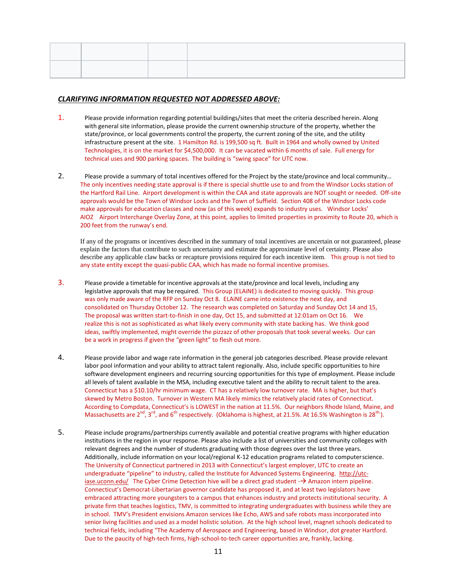#### *CLARIFYING INFORMATION REQUESTED NOT ADDRESSED ABOVE:*

- 1. Please provide information regarding potential buildings/sites that meet the criteria described herein. Along with general site information, please provide the current ownership structure of the property, whether the state/province, or local governments control the property, the current zoning of the site, and the utility infrastructure present at the site. 1 Hamilton Rd. is 199,500 sq ft. Built in 1964 and wholly owned by United Technologies, it is on the market for \$4,500,000. It can be vacated within 6 months of sale. Full energy for technical uses and 900 parking spaces. The building is "swing space" for UTC now.
- 2. Please provide a summary of total incentives offered for the Project by the state/province and local community… The only incentives needing state approval is if there is special shuttle use to and from the Windsor Locks station of the Hartford Rail Line. Airport development is within the CAA and state approvals are NOT sought or needed. Off-site approvals would be the Town of Windsor Locks and the Town of Suffield. Section 408 of the Windsor Locks code make approvals for education classes and now (as of this week) expands to industry uses. Windsor Locks' AIOZ Airport Interchange Overlay Zone, at this point, applies to limited properties in proximity to Route 20, which is 200 feet from the runway's end.

If any of the programs or incentives described in the summary of total incentives are uncertain or not guaranteed, please explain the factors that contribute to such uncertainty and estimate the approximate level of certainty. Please also describe any applicable claw backs or recapture provisions required for each incentive item. This group is not tied to any state entity except the quasi-public CAA, which has made no formal incentive promises.

- 3. Please provide a timetable for incentive approvals at the state/province and local levels, including any legislative approvals that may be required. This Group (ELAiNE) is dedicated to moving quickly. This group was only made aware of the RFP on Sunday Oct 8. ELAiNE came into existence the next day, and consolidated on Thursday October 12. The research was completed on Saturday and Sunday Oct 14 and 15, The proposal was written start-to-finish in one day, Oct 15, and submitted at 12:01am on Oct 16. We realize this is not as sophisticated as what likely every community with state backing has. We think good ideas, swiftly implemented, might override the pizzazz of other proposals that took several weeks. Our can be a work in progress if given the "green light" to flesh out more.
- 4. Please provide labor and wage rate information in the general job categories described. Please provide relevant labor pool information and your ability to attract talent regionally. Also, include specific opportunities to hire software development engineers and recurring sourcing opportunities for this type of employment. Please include all levels of talent available in the MSA, including executive talent and the ability to recruit talent to the area. Connecticut has a \$10.10/hr minimum wage. CT has a relatively low turnover rate. MA is higher, but that's skewed by Metro Boston. Turnover in Western MA likely mimics the relatively placid rates of Connecticut. According to Compdata, Connecticut's is LOWEST in the nation at 11.5%. Our neighbors Rhode Island, Maine, and Massachusetts are 2<sup>nd</sup>, 3<sup>rd</sup>, and 6<sup>th</sup> respectively. (Oklahoma is highest, at 21.5%. At 16.5% Washington is 28<sup>th.</sup>).
- 5. Please include programs/partnerships currently available and potential creative programs with higher education institutions in the region in your response. Please also include a list of universities and community colleges with relevant degrees and the number of students graduating with those degrees over the last three years. Additionally, include information on your local/regional K-12 education programs related to computerscience. The University of Connecticut partnered in 2013 with Connecticut's largest employer, UTC to create an undergraduate "pipeline" to industry, called the Institute for Advanced Systems Engineering. [http://utc](http://utc-iase.uconn.edu/)[iase.uconn.edu/](http://utc-iase.uconn.edu/) The Cyber Crime Detection hive will be a direct grad student  $-\rightarrow$  Amazon intern pipeline. Connecticut's Democrat-Libertarian governor candidate has proposed it, and at least two legislators have embraced attracting more youngsters to a campus that enhances industry and protects institutional security. A private firm that teaches logistics, TMV, is committed to integrating undergraduates with business while they are in school. TMV's President envisions Amazon services like Echo, AWS and safe robots mass incorporated into senior living facilities and used as a model holistic solution. At the high school level, magnet schools dedicated to technical fields, including "The Academy of Aerospace and Engineering, based in Windsor, dot greater Hartford. Due to the paucity of high-tech firms, high-school-to-tech career opportunities are, frankly, lacking.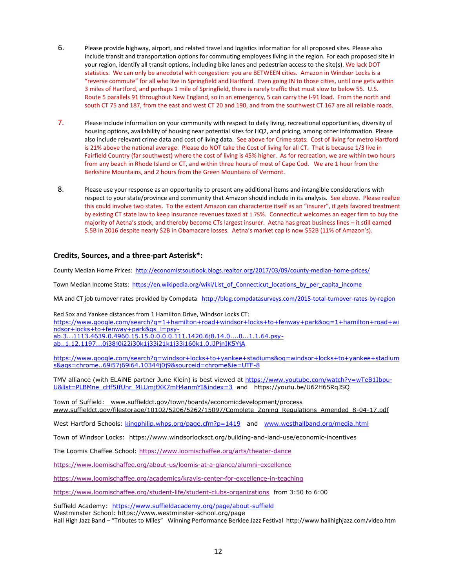- 6. Please provide highway, airport, and related travel and logistics information for all proposed sites. Please also include transit and transportation options for commuting employees living in the region. For each proposed site in your region, identify all transit options, including bike lanes and pedestrian access to the site(s). We lack DOT statistics. We can only be anecdotal with congestion: you are BETWEEN cities. Amazon in Windsor Locks is a "reverse commute" for all who live in Springfield and Hartford. Even going IN to those cities, until one gets within 3 miles of Hartford, and perhaps 1 mile of Springfield, there is rarely traffic that must slow to below 55. U.S. Route 5 parallels 91 throughout New England, so in an emergency, 5 can carry the I-91 load. From the north and south CT 75 and 187, from the east and west CT 20 and 190, and from the southwest CT 167 are all reliable roads.
- 7. Please include information on your community with respect to daily living, recreational opportunities, diversity of housing options, availability of housing near potential sites for HQ2, and pricing, among other information. Please also include relevant crime data and cost of living data. See above for Crime stats. Cost of living for metro Hartford is 21% above the national average. Please do NOT take the Cost of living for all CT. That is because 1/3 live in Fairfield Country (far southwest) where the cost of living is 45% higher. As for recreation, we are within two hours from any beach in Rhode Island or CT, and within three hours of most of Cape Cod. We are 1 hour from the Berkshire Mountains, and 2 hours from the Green Mountains of Vermont.
- 8. Please use your response as an opportunity to present any additional items and intangible considerations with respect to your state/province and community that Amazon should include in its analysis. See above. Please realize this could involve two states. To the extent Amazon can characterize itself as an "insurer", it gets favored treatment by existing CT state law to keep insurance revenues taxed at 1.75%. Connecticut welcomes an eager firm to buy the majority of Aetna's stock, and thereby become CTs largest insurer. Aetna has great business lines – it still earned \$.5B in 2016 despite nearly \$2B in Obamacare losses. Aetna's market cap is now \$52B (11% of Amazon's).

#### **Credits, Sources, and a three-part Asterisk\*:**

County Median Home Prices:<http://economistsoutlook.blogs.realtor.org/2017/03/09/county-median-home-prices/>

Town Median Income Stats: [https://en.wikipedia.org/wiki/List\\_of\\_Connecticut\\_locations\\_by\\_per\\_capita\\_income](https://en.wikipedia.org/wiki/List_of_Connecticut_locations_by_per_capita_income)

MA and CT job turnover rates provided by Compdata <http://blog.compdatasurveys.com/2015-total-turnover-rates-by-region>

Red Sox and Yankee distances from 1 Hamilton Drive, Windsor Locks CT: [https://www.google.com/search?q=1+hamilton+road+windsor+locks+to+fenway+park&oq=1+hamilton+road+wi](https://www.google.com/search?q=1+hamilton+road+windsor+locks+to+fenway+park&oq=1+hamilton+road+windsor+locks+to+fenway+park&gs_l=psy-ab.3...1113.4639.0.4960.15.15.0.0.0.0.111.1420.6j8.14.0....0...1.1.64.psy-ab..1.12.1197...0j38j0i22i30k1j33i21k1j33i160k1.0.iJPjnIK5YjA) [ndsor+locks+to+fenway+park&gs\\_l=psy](https://www.google.com/search?q=1+hamilton+road+windsor+locks+to+fenway+park&oq=1+hamilton+road+windsor+locks+to+fenway+park&gs_l=psy-ab.3...1113.4639.0.4960.15.15.0.0.0.0.111.1420.6j8.14.0....0...1.1.64.psy-ab..1.12.1197...0j38j0i22i30k1j33i21k1j33i160k1.0.iJPjnIK5YjA)[ab.3...1113.4639.0.4960.15.15.0.0.0.0.111.1420.6j8.14.0....0...1.1.64.psy](https://www.google.com/search?q=1+hamilton+road+windsor+locks+to+fenway+park&oq=1+hamilton+road+windsor+locks+to+fenway+park&gs_l=psy-ab.3...1113.4639.0.4960.15.15.0.0.0.0.111.1420.6j8.14.0....0...1.1.64.psy-ab..1.12.1197...0j38j0i22i30k1j33i21k1j33i160k1.0.iJPjnIK5YjA)[ab..1.12.1197...0j38j0i22i30k1j33i21k1j33i160k1.0.iJPjnIK5YjA](https://www.google.com/search?q=1+hamilton+road+windsor+locks+to+fenway+park&oq=1+hamilton+road+windsor+locks+to+fenway+park&gs_l=psy-ab.3...1113.4639.0.4960.15.15.0.0.0.0.111.1420.6j8.14.0....0...1.1.64.psy-ab..1.12.1197...0j38j0i22i30k1j33i21k1j33i160k1.0.iJPjnIK5YjA)

[https://www.google.com/search?q=windsor+locks+to+yankee+stadiums&oq=windsor+locks+to+yankee+stadium](https://www.google.com/search?q=windsor+locks+to+yankee+stadiums&oq=windsor+locks+to+yankee+stadiums&aqs=chrome..69i57j69i64.10344j0j9&sourceid=chrome&ie=UTF-8) [s&aqs=chrome..69i57j69i64.10344j0j9&sourceid=chrome&ie=UTF-8](https://www.google.com/search?q=windsor+locks+to+yankee+stadiums&oq=windsor+locks+to+yankee+stadiums&aqs=chrome..69i57j69i64.10344j0j9&sourceid=chrome&ie=UTF-8)

TMV alliance (with ELAiNE partner June Klein) is best viewed at [https://www.youtube.com/watch?v=wTeB1Ibpu-](https://www.youtube.com/watch?v=wTeB1Ibpu-U&list=PLBMne_cHf5IfUhr_MLUmjtXK7mH4anmYI&index=3)[U&list=PLBMne\\_cHf5IfUhr\\_MLUmjtXK7mH4anmYI&index=3](https://www.youtube.com/watch?v=wTeB1Ibpu-U&list=PLBMne_cHf5IfUhr_MLUmjtXK7mH4anmYI&index=3) and https://youtu.be/U62H65RqJSQ

Town of Suffield: [www.suffieldct.gov/town/boards/economicdevelopment/process](http://www.suffieldct.gov/town/boards/economicdevelopment/process) www.suffieldct.gov/filestorage/10102/5206/5262/15097/Complete\_Zoning\_Regulations\_Amended\_8-04-17.pdf

West Hartford Schools: [kingphilip.whps.org/page.cfm?p=1419](http://kingphilip.whps.org/page.cfm?p=1419) and [www.westhallband.org/media.html](http://www.westhallband.org/media.html)

Town of Windsor Locks: https://www.windsorlocksct.org/building-and-land-use/economic-incentives

The Loomis Chaffee School:<https://www.loomischaffee.org/arts/theater-dance>

<https://www.loomischaffee.org/about-us/loomis-at-a-glance/alumni-excellence>

<https://www.loomischaffee.org/academics/kravis-center-for-excellence-in-teaching>

<https://www.loomischaffee.org/student-life/student-clubs-organizations> from 3:50 to 6:00

Suffield Academy: <https://www.suffieldacademy.org/page/about-suffield>

Westminster School: https://www.westminster-school.org/page

Hall High Jazz Band – "Tributes to Miles" Winning Performance Berklee Jazz Festival http://www.hallhighjazz.com/video.htm